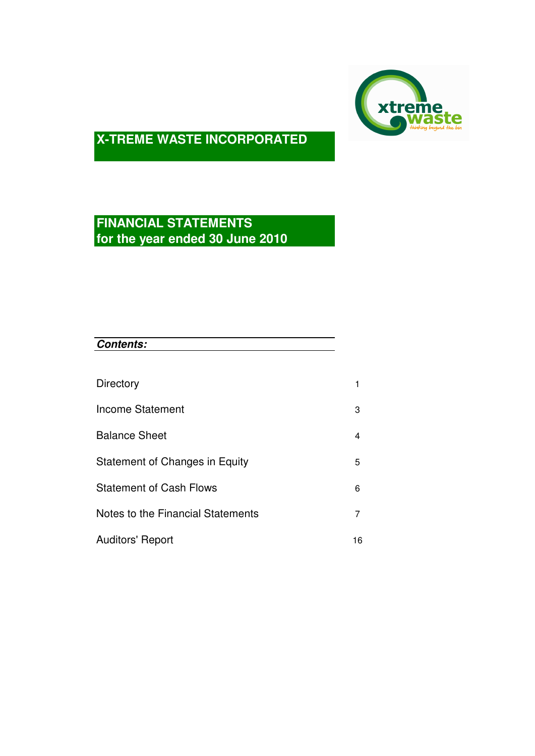

# **FINANCIAL STATEMENTS for the year ended 30 June 2010**

| <b>Contents:</b>                  |    |
|-----------------------------------|----|
|                                   |    |
| Directory                         | 1  |
| <b>Income Statement</b>           | 3  |
| <b>Balance Sheet</b>              | 4  |
| Statement of Changes in Equity    | 5  |
| <b>Statement of Cash Flows</b>    | 6  |
| Notes to the Financial Statements | 7  |
| <b>Auditors' Report</b>           | 16 |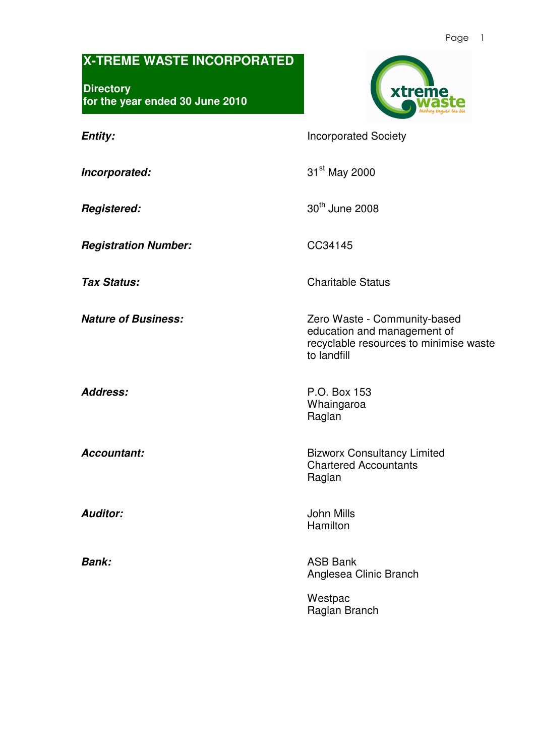#### Page 1

## **X-TREME WASTE INCORPORATED**

**Directory for the year ended 30 June 2010** 



**Entity: Incorporated Society** 

**Incorporated:** 31<sup>st</sup> May 2000

**Registered:**  $30<sup>th</sup>$  June 2008

**Registration Number:** CC34145

**Tax Status:** Charitable Status

**Nature of Business: Nature of Business: Zero Waste - Community-based** 

**Address:** P.O. Box 153 Whaingaroa Raglan

to landfill

**Accountant: Bizworx Consultancy Limited** Chartered Accountants Raglan

education and management of

recyclable resources to minimise waste

**Auditor:** John Mills **Hamilton** 

**Bank:** ASB Bank Anglesea Clinic Branch

> Westpac Raglan Branch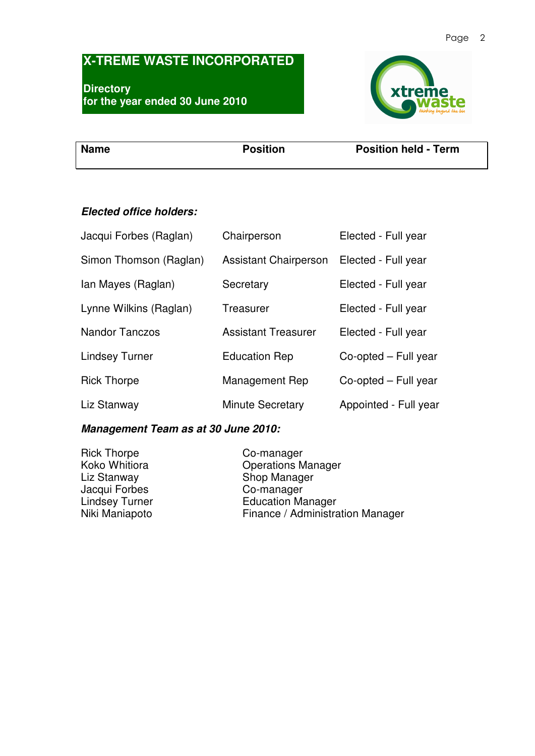### Page 2

# **X-TREME WASTE INCORPORATED**

**Directory for the year ended 30 June 2010** 



**Name** Position Position Position **Position** Position held - Term

## **Elected office holders:**

| Jacqui Forbes (Raglan) | Chairperson                  | Elected - Full year   |
|------------------------|------------------------------|-----------------------|
| Simon Thomson (Raglan) | <b>Assistant Chairperson</b> | Elected - Full year   |
| Ian Mayes (Raglan)     | Secretary                    | Elected - Full year   |
| Lynne Wilkins (Raglan) | Treasurer                    | Elected - Full year   |
| <b>Nandor Tanczos</b>  | <b>Assistant Treasurer</b>   | Elected - Full year   |
| <b>Lindsey Turner</b>  | <b>Education Rep</b>         | Co-opted – Full year  |
| <b>Rick Thorpe</b>     | Management Rep               | Co-opted - Full year  |
| Liz Stanway            | <b>Minute Secretary</b>      | Appointed - Full year |

## **Management Team as at 30 June 2010:**

| <b>Rick Thorpe</b>    | Co-manager                       |
|-----------------------|----------------------------------|
| Koko Whitiora         | <b>Operations Manager</b>        |
| Liz Stanway           | Shop Manager                     |
| Jacqui Forbes         | Co-manager                       |
| <b>Lindsey Turner</b> | <b>Education Manager</b>         |
| Niki Maniapoto        | Finance / Administration Manager |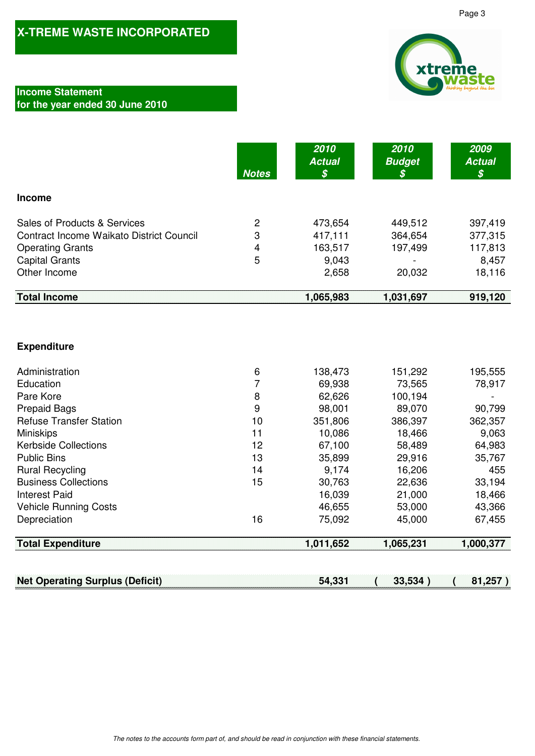### **Income Statement**

## **for the year ended 30 June 2010**

|                                                 | <b>Notes</b> | 2010<br><b>Actual</b><br>$\boldsymbol{\mathcal{S}}$ | 2010<br><b>Budget</b><br>S | 2009<br><b>Actual</b><br>$\boldsymbol{\mathcal{S}}$ |
|-------------------------------------------------|--------------|-----------------------------------------------------|----------------------------|-----------------------------------------------------|
| <b>Income</b>                                   |              |                                                     |                            |                                                     |
| Sales of Products & Services                    | 2            | 473,654                                             | 449,512                    | 397,419                                             |
| <b>Contract Income Waikato District Council</b> | 3            | 417,111                                             | 364,654                    | 377,315                                             |
| <b>Operating Grants</b>                         | 4            | 163,517                                             | 197,499                    | 117,813                                             |
| <b>Capital Grants</b>                           | 5            | 9,043                                               |                            | 8,457                                               |
| Other Income                                    |              | 2,658                                               | 20,032                     | 18,116                                              |
| <b>Total Income</b>                             |              | 1,065,983                                           | 1,031,697                  | 919,120                                             |

### **Expenditure**

| Administration                 | 6  | 138,473 | 151,292 | 195,555 |
|--------------------------------|----|---------|---------|---------|
| Education                      |    | 69,938  | 73,565  | 78,917  |
| Pare Kore                      | 8  | 62,626  | 100,194 |         |
| <b>Prepaid Bags</b>            | 9  | 98,001  | 89,070  | 90,799  |
| <b>Refuse Transfer Station</b> | 10 | 351,806 | 386,397 | 362,357 |
| <b>Miniskips</b>               | 11 | 10,086  | 18,466  | 9,063   |
| <b>Kerbside Collections</b>    | 12 | 67,100  | 58,489  | 64,983  |
| <b>Public Bins</b>             | 13 | 35,899  | 29,916  | 35,767  |
| <b>Rural Recycling</b>         | 14 | 9.174   | 16,206  | 455     |
| <b>Business Collections</b>    | 15 | 30,763  | 22,636  | 33,194  |
| <b>Interest Paid</b>           |    | 16,039  | 21,000  | 18,466  |
| <b>Vehicle Running Costs</b>   |    | 46,655  | 53,000  | 43,366  |
| Depreciation                   | 16 | 75,092  | 45,000  | 67,455  |

**Total Expenditure 1,065,231 1,011,652 1,000,377** 

**Net Operating Surplus (Deficit)** 54,331 (33,534) (81,257)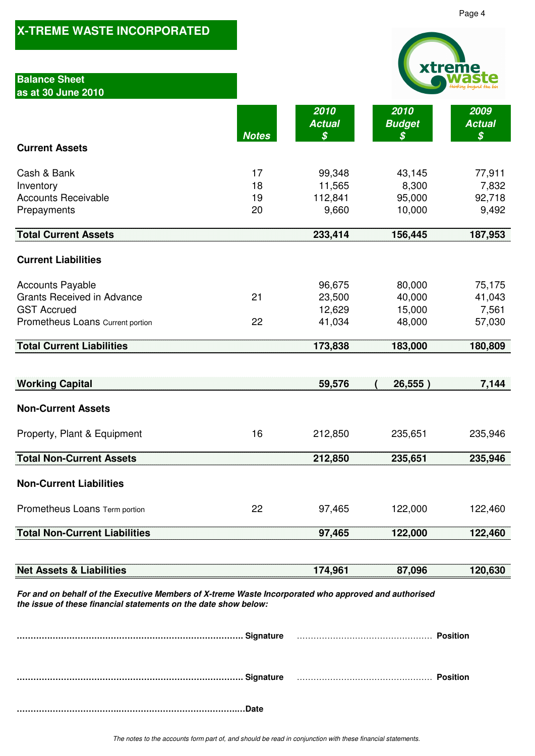|                                                                                                                                                                         |              |                                             |                                             | Page 4                                      |
|-------------------------------------------------------------------------------------------------------------------------------------------------------------------------|--------------|---------------------------------------------|---------------------------------------------|---------------------------------------------|
| <b>X-TREME WASTE INCORPORATED</b>                                                                                                                                       |              |                                             |                                             |                                             |
| <b>Balance Sheet</b>                                                                                                                                                    |              |                                             |                                             | xtreme                                      |
| as at 30 June 2010                                                                                                                                                      |              |                                             |                                             |                                             |
|                                                                                                                                                                         |              | 2010                                        | 2010                                        | 2009                                        |
|                                                                                                                                                                         | <b>Notes</b> | <b>Actual</b><br>$\boldsymbol{\mathcal{S}}$ | <b>Budget</b><br>$\boldsymbol{\mathcal{S}}$ | <b>Actual</b><br>$\boldsymbol{\mathcal{S}}$ |
| <b>Current Assets</b>                                                                                                                                                   |              |                                             |                                             |                                             |
| Cash & Bank                                                                                                                                                             | 17           | 99,348                                      | 43,145                                      | 77,911                                      |
| Inventory<br><b>Accounts Receivable</b>                                                                                                                                 | 18<br>19     | 11,565<br>112,841                           | 8,300<br>95,000                             | 7,832<br>92,718                             |
| Prepayments                                                                                                                                                             | 20           | 9,660                                       | 10,000                                      | 9,492                                       |
| <b>Total Current Assets</b>                                                                                                                                             |              | 233,414                                     | 156,445                                     | 187,953                                     |
|                                                                                                                                                                         |              |                                             |                                             |                                             |
| <b>Current Liabilities</b>                                                                                                                                              |              |                                             |                                             |                                             |
| <b>Accounts Payable</b>                                                                                                                                                 |              | 96,675                                      | 80,000                                      | 75,175                                      |
| <b>Grants Received in Advance</b><br><b>GST Accrued</b>                                                                                                                 | 21           | 23,500<br>12,629                            | 40,000<br>15,000                            | 41,043<br>7,561                             |
| Prometheus Loans Current portion                                                                                                                                        | 22           | 41,034                                      | 48,000                                      | 57,030                                      |
| <b>Total Current Liabilities</b>                                                                                                                                        |              | 173,838                                     | 183,000                                     | 180,809                                     |
|                                                                                                                                                                         |              |                                             |                                             |                                             |
| <b>Working Capital</b>                                                                                                                                                  |              | 59,576                                      | 26,555)                                     | 7,144                                       |
| <b>Non-Current Assets</b>                                                                                                                                               |              |                                             |                                             |                                             |
| Property, Plant & Equipment                                                                                                                                             | 16           | 212,850                                     | 235,651                                     | 235,946                                     |
| <b>Total Non-Current Assets</b>                                                                                                                                         |              | 212,850                                     | 235,651                                     | 235,946                                     |
| <b>Non-Current Liabilities</b>                                                                                                                                          |              |                                             |                                             |                                             |
| Prometheus Loans Term portion                                                                                                                                           | 22           | 97,465                                      | 122,000                                     | 122,460                                     |
| <b>Total Non-Current Liabilities</b>                                                                                                                                    |              | 97,465                                      | 122,000                                     | 122,460                                     |
|                                                                                                                                                                         |              |                                             |                                             |                                             |
| <b>Net Assets &amp; Liabilities</b>                                                                                                                                     |              | 174,961                                     | 87,096                                      | 120,630                                     |
| For and on behalf of the Executive Members of X-treme Waste Incorporated who approved and authorised<br>the issue of these financial statements on the date show below: |              |                                             |                                             |                                             |
|                                                                                                                                                                         |              |                                             |                                             |                                             |
|                                                                                                                                                                         |              |                                             |                                             |                                             |
|                                                                                                                                                                         |              |                                             |                                             | <b>Position</b>                             |
|                                                                                                                                                                         |              |                                             |                                             |                                             |
|                                                                                                                                                                         |              |                                             |                                             |                                             |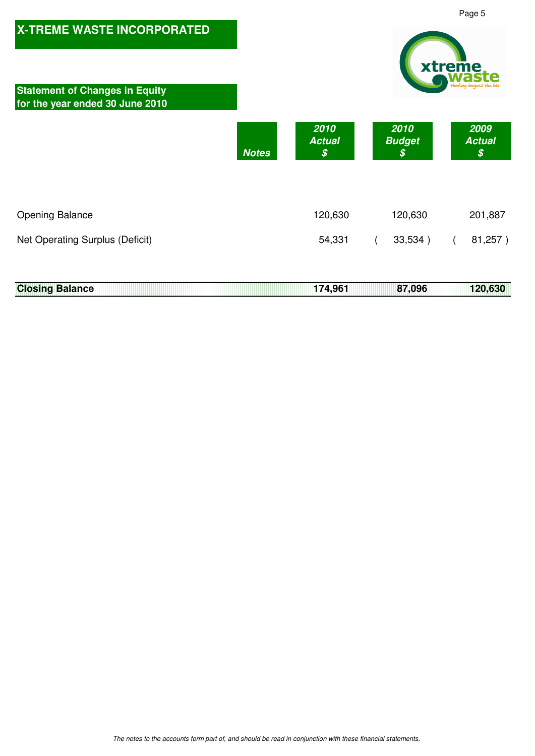

## **Closing Balance 120,630 174,961 174,961 174,096 120,630**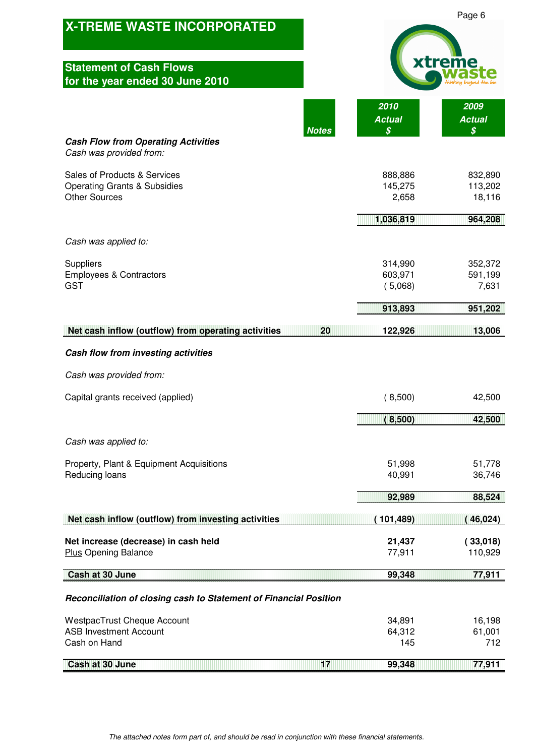|                                                                   |                     | Page 6              |
|-------------------------------------------------------------------|---------------------|---------------------|
| <b>X-TREME WASTE INCORPORATED</b>                                 |                     |                     |
|                                                                   |                     |                     |
| <b>Statement of Cash Flows</b>                                    |                     | trem                |
| for the year ended 30 June 2010                                   |                     |                     |
|                                                                   | 2010                | 2009                |
| <b>Notes</b>                                                      | <b>Actual</b><br>\$ | <b>Actual</b><br>\$ |
| <b>Cash Flow from Operating Activities</b>                        |                     |                     |
| Cash was provided from:                                           |                     |                     |
| Sales of Products & Services                                      | 888,886             | 832,890             |
| <b>Operating Grants &amp; Subsidies</b><br><b>Other Sources</b>   | 145,275             | 113,202             |
|                                                                   | 2,658               | 18,116              |
|                                                                   | 1,036,819           | 964,208             |
| Cash was applied to:                                              |                     |                     |
| Suppliers                                                         | 314,990             | 352,372             |
| <b>Employees &amp; Contractors</b>                                | 603,971             | 591,199             |
| <b>GST</b>                                                        | (5,068)             | 7,631               |
|                                                                   | 913,893             | 951,202             |
| Net cash inflow (outflow) from operating activities<br>20         | 122,926             | 13,006              |
| Cash flow from investing activities                               |                     |                     |
| Cash was provided from:                                           |                     |                     |
| Capital grants received (applied)                                 | (8,500)             | 42,500              |
|                                                                   | (8,500)             | 42,500              |
|                                                                   |                     |                     |
| Cash was applied to:                                              |                     |                     |
| Property, Plant & Equipment Acquisitions                          | 51,998              | 51,778              |
| Reducing loans                                                    | 40,991              | 36,746              |
|                                                                   | 92,989              | 88,524              |
| Net cash inflow (outflow) from investing activities               | 101,489)            | 46,024)             |
| Net increase (decrease) in cash held                              | 21,437              | (33,018)            |
| <b>Plus Opening Balance</b>                                       | 77,911              | 110,929             |
| Cash at 30 June                                                   | 99,348              | 77,911              |
| Reconciliation of closing cash to Statement of Financial Position |                     |                     |
| <b>WestpacTrust Cheque Account</b>                                | 34,891              | 16,198              |
| <b>ASB Investment Account</b><br>Cash on Hand                     | 64,312              | 61,001<br>712       |
|                                                                   | 145                 |                     |
| Cash at 30 June<br>17                                             | 99,348              | 77,911              |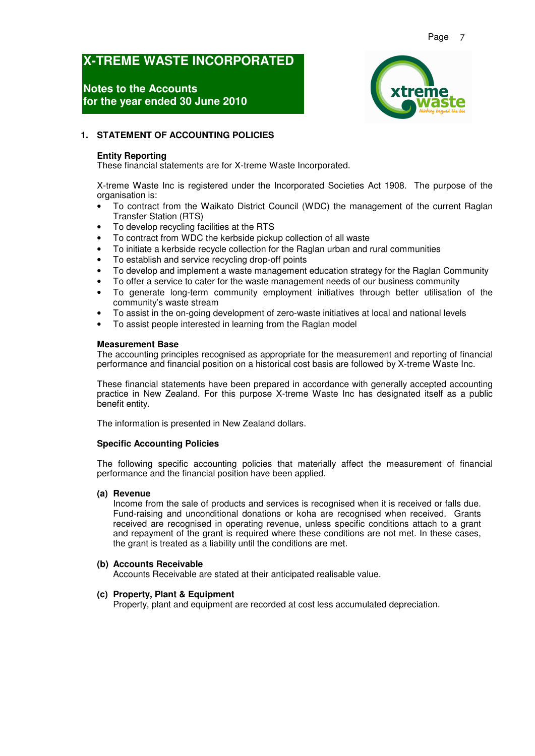### **Notes to the Accounts for the year ended 30 June 2010**



#### **1. STATEMENT OF ACCOUNTING POLICIES**

#### **Entity Reporting**

These financial statements are for X-treme Waste Incorporated.

X-treme Waste Inc is registered under the Incorporated Societies Act 1908. The purpose of the organisation is:

- To contract from the Waikato District Council (WDC) the management of the current Raglan Transfer Station (RTS)
- To develop recycling facilities at the RTS
- To contract from WDC the kerbside pickup collection of all waste
- To initiate a kerbside recycle collection for the Raglan urban and rural communities
- To establish and service recycling drop-off points
- To develop and implement a waste management education strategy for the Raglan Community
- To offer a service to cater for the waste management needs of our business community
- To generate long-term community employment initiatives through better utilisation of the community's waste stream
- To assist in the on-going development of zero-waste initiatives at local and national levels
- To assist people interested in learning from the Raglan model

#### **Measurement Base**

The accounting principles recognised as appropriate for the measurement and reporting of financial performance and financial position on a historical cost basis are followed by X-treme Waste Inc.

These financial statements have been prepared in accordance with generally accepted accounting practice in New Zealand. For this purpose X-treme Waste Inc has designated itself as a public benefit entity.

The information is presented in New Zealand dollars.

#### **Specific Accounting Policies**

The following specific accounting policies that materially affect the measurement of financial performance and the financial position have been applied.

#### **(a) Revenue**

Income from the sale of products and services is recognised when it is received or falls due. Fund-raising and unconditional donations or koha are recognised when received. Grants received are recognised in operating revenue, unless specific conditions attach to a grant and repayment of the grant is required where these conditions are not met. In these cases, the grant is treated as a liability until the conditions are met.

#### **(b) Accounts Receivable**

Accounts Receivable are stated at their anticipated realisable value.

#### **(c) Property, Plant & Equipment**

Property, plant and equipment are recorded at cost less accumulated depreciation.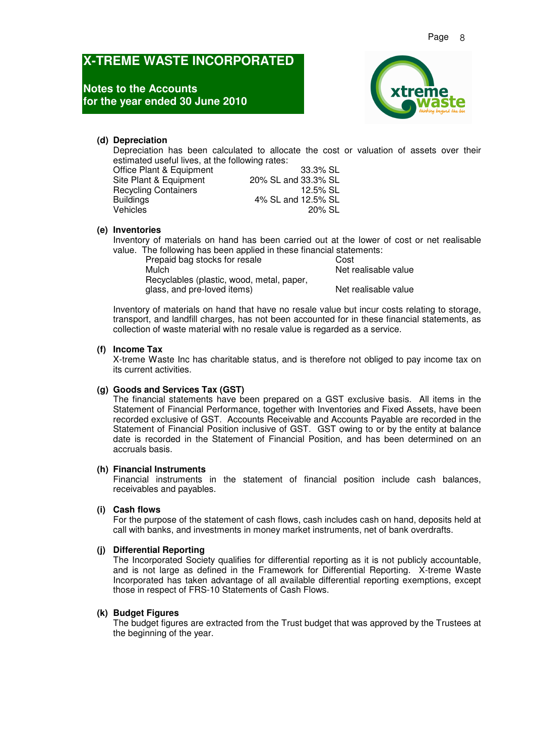### **Notes to the Accounts for the year ended 30 June 2010**



#### **(d) Depreciation**

Depreciation has been calculated to allocate the cost or valuation of assets over their estimated useful lives, at the following rates:

| 33.3% SL            |
|---------------------|
| 20% SL and 33.3% SL |
| 12.5% SL            |
| 4% SL and 12.5% SL  |
| 20% SL              |
|                     |

#### **(e) Inventories**

Inventory of materials on hand has been carried out at the lower of cost or net realisable value. The following has been applied in these financial statements:

Prepaid bag stocks for resale **Cost**<br>Mulch **Mulch** Recyclables (plastic, wood, metal, paper, glass, and pre-loved items) Net realisable value

Net realisable value

Inventory of materials on hand that have no resale value but incur costs relating to storage, transport, and landfill charges, has not been accounted for in these financial statements, as collection of waste material with no resale value is regarded as a service.

#### **(f) Income Tax**

X-treme Waste Inc has charitable status, and is therefore not obliged to pay income tax on its current activities.

#### **(g) Goods and Services Tax (GST)**

The financial statements have been prepared on a GST exclusive basis. All items in the Statement of Financial Performance, together with Inventories and Fixed Assets, have been recorded exclusive of GST. Accounts Receivable and Accounts Payable are recorded in the Statement of Financial Position inclusive of GST. GST owing to or by the entity at balance date is recorded in the Statement of Financial Position, and has been determined on an accruals basis.

#### **(h) Financial Instruments**

Financial instruments in the statement of financial position include cash balances, receivables and payables.

#### **(i) Cash flows**

For the purpose of the statement of cash flows, cash includes cash on hand, deposits held at call with banks, and investments in money market instruments, net of bank overdrafts.

#### **(j) Differential Reporting**

The Incorporated Society qualifies for differential reporting as it is not publicly accountable, and is not large as defined in the Framework for Differential Reporting. X-treme Waste Incorporated has taken advantage of all available differential reporting exemptions, except those in respect of FRS-10 Statements of Cash Flows.

#### **(k) Budget Figures**

The budget figures are extracted from the Trust budget that was approved by the Trustees at the beginning of the year.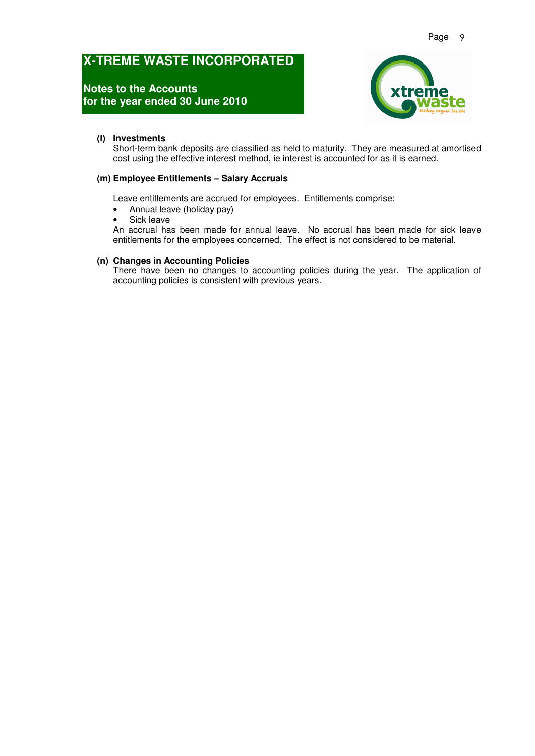### **Notes to the Accounts for the year ended 30 June 2010**



#### **(l) Investments**

Short-term bank deposits are classified as held to maturity. They are measured at amortised cost using the effective interest method, ie interest is accounted for as it is earned.

#### **(m) Employee Entitlements – Salary Accruals**

Leave entitlements are accrued for employees. Entitlements comprise:

- Annual leave (holiday pay)
- Sick leave

An accrual has been made for annual leave. No accrual has been made for sick leave entitlements for the employees concerned. The effect is not considered to be material.

#### **(n) Changes in Accounting Policies**

There have been no changes to accounting policies during the year. The application of accounting policies is consistent with previous years.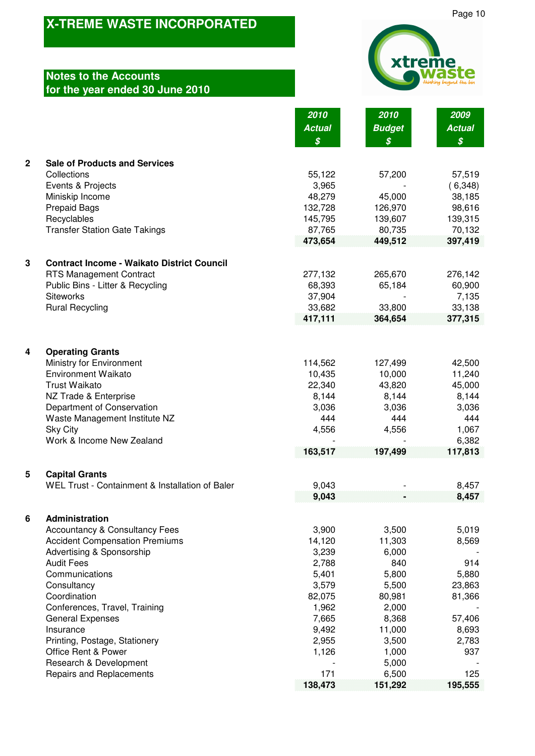## **Notes to the Accounts for the year ended 30 June 2010**



**2010 2010 2009**

|              |                                                      | <b>Actual</b>    | <b>Budget</b>    | <b>Actual</b>    |
|--------------|------------------------------------------------------|------------------|------------------|------------------|
|              |                                                      | $\boldsymbol{s}$ | $\boldsymbol{s}$ | $\boldsymbol{s}$ |
| $\mathbf{2}$ | <b>Sale of Products and Services</b>                 |                  |                  |                  |
|              | Collections                                          | 55,122           | 57,200           | 57,519           |
|              | Events & Projects                                    | 3,965            |                  | (6,348)          |
|              | Miniskip Income                                      | 48,279           | 45,000           | 38,185           |
|              | <b>Prepaid Bags</b>                                  | 132,728          | 126,970          | 98,616           |
|              | Recyclables                                          | 145,795          | 139,607          | 139,315          |
|              | <b>Transfer Station Gate Takings</b>                 | 87,765           | 80,735           | 70,132           |
|              |                                                      | 473,654          | 449,512          | 397,419          |
|              |                                                      |                  |                  |                  |
| 3            | <b>Contract Income - Waikato District Council</b>    |                  |                  |                  |
|              | <b>RTS Management Contract</b>                       | 277,132          | 265,670          | 276,142          |
|              | Public Bins - Litter & Recycling                     | 68,393           | 65,184           | 60,900           |
|              | <b>Siteworks</b>                                     | 37,904           |                  | 7,135            |
|              | <b>Rural Recycling</b>                               | 33,682           | 33,800           | 33,138           |
|              |                                                      | 417,111          | 364,654          | 377,315          |
|              |                                                      |                  |                  |                  |
| 4            | <b>Operating Grants</b>                              |                  |                  |                  |
|              | Ministry for Environment                             | 114,562          | 127,499          | 42,500           |
|              | <b>Environment Waikato</b>                           | 10,435           | 10,000           | 11,240           |
|              | <b>Trust Waikato</b>                                 | 22,340           | 43,820           | 45,000           |
|              | NZ Trade & Enterprise                                | 8,144            | 8,144            | 8,144            |
|              | Department of Conservation                           | 3,036            | 3,036            | 3,036            |
|              | Waste Management Institute NZ                        | 444              | 444              | 444              |
|              | <b>Sky City</b>                                      | 4,556            | 4,556            | 1,067            |
|              | Work & Income New Zealand                            |                  |                  | 6,382            |
|              |                                                      | 163,517          | 197,499          | 117,813          |
| 5            | <b>Capital Grants</b>                                |                  |                  |                  |
|              | WEL Trust - Containment & Installation of Baler      | 9,043            |                  | 8,457            |
|              |                                                      | 9,043            |                  | 8,457            |
|              |                                                      |                  |                  |                  |
| 6            | Administration                                       |                  |                  |                  |
|              | <b>Accountancy &amp; Consultancy Fees</b>            | 3,900            | 3,500            | 5,019            |
|              | <b>Accident Compensation Premiums</b>                | 14,120           | 11,303           | 8,569            |
|              | Advertising & Sponsorship                            | 3,239            | 6,000            |                  |
|              | <b>Audit Fees</b>                                    | 2,788            | 840              | 914              |
|              | Communications                                       | 5,401            | 5,800            | 5,880            |
|              | Consultancy                                          | 3,579            | 5,500            | 23,863           |
|              | Coordination                                         | 82,075           | 80,981           | 81,366           |
|              | Conferences, Travel, Training                        | 1,962            | 2,000            |                  |
|              | <b>General Expenses</b>                              | 7,665<br>9,492   | 8,368            | 57,406           |
|              | Insurance                                            | 2,955            | 11,000           | 8,693<br>2,783   |
|              | Printing, Postage, Stationery<br>Office Rent & Power | 1,126            | 3,500<br>1,000   | 937              |
|              | Research & Development                               |                  | 5,000            |                  |
|              | Repairs and Replacements                             | 171              | 6,500            | 125              |
|              |                                                      | 138,473          | 151,292          | 195,555          |
|              |                                                      |                  |                  |                  |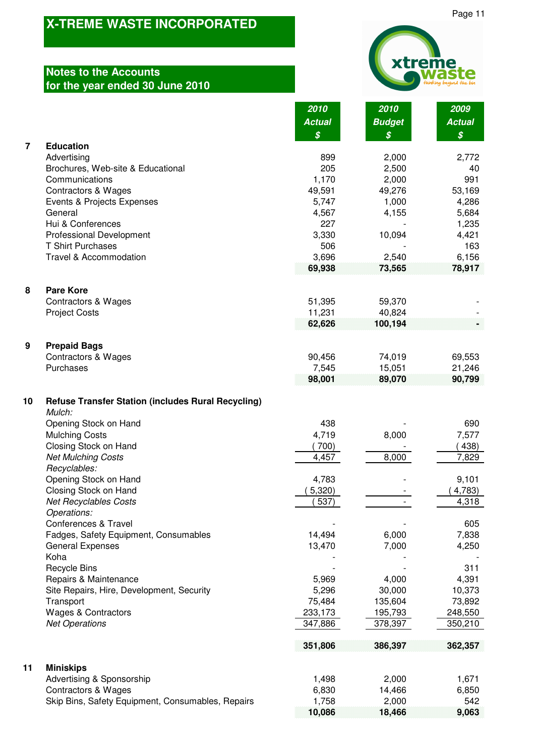## **Notes to the Accounts for the year ended 30 June 2010**



 **10,086 18,466 9,063**

|                  |                                                                     | 2010<br><b>Actual</b><br>\$ | 2010<br><b>Budget</b><br>$\boldsymbol{\mathcal{S}}$ | 2009<br><b>Actual</b><br>$\boldsymbol{\mathcal{S}}$ |
|------------------|---------------------------------------------------------------------|-----------------------------|-----------------------------------------------------|-----------------------------------------------------|
| $\overline{7}$   | <b>Education</b>                                                    |                             |                                                     |                                                     |
|                  | Advertising                                                         | 899                         | 2,000                                               | 2,772                                               |
|                  | Brochures, Web-site & Educational                                   | 205                         | 2,500                                               | 40                                                  |
|                  | Communications                                                      | 1,170                       | 2,000                                               | 991                                                 |
|                  | <b>Contractors &amp; Wages</b>                                      | 49,591                      | 49,276                                              | 53,169                                              |
|                  | Events & Projects Expenses<br>General                               | 5,747<br>4,567              | 1,000<br>4,155                                      | 4,286<br>5,684                                      |
|                  | Hui & Conferences                                                   | 227                         |                                                     | 1,235                                               |
|                  | Professional Development                                            | 3,330                       | 10,094                                              | 4,421                                               |
|                  | <b>T Shirt Purchases</b>                                            | 506                         |                                                     | 163                                                 |
|                  | Travel & Accommodation                                              | 3,696                       | 2,540                                               | 6,156                                               |
|                  |                                                                     | 69,938                      | 73,565                                              | 78,917                                              |
| 8                | <b>Pare Kore</b>                                                    |                             |                                                     |                                                     |
|                  | Contractors & Wages<br><b>Project Costs</b>                         | 51,395<br>11,231            | 59,370<br>40,824                                    |                                                     |
|                  |                                                                     | 62,626                      | 100,194                                             |                                                     |
| $\boldsymbol{9}$ | <b>Prepaid Bags</b>                                                 |                             |                                                     |                                                     |
|                  | <b>Contractors &amp; Wages</b>                                      | 90,456                      | 74,019                                              | 69,553                                              |
|                  | Purchases                                                           | 7,545                       | 15,051                                              | 21,246                                              |
|                  |                                                                     | 98,001                      | 89,070                                              | 90,799                                              |
| 10               | <b>Refuse Transfer Station (includes Rural Recycling)</b><br>Mulch: |                             |                                                     |                                                     |
|                  | Opening Stock on Hand                                               | 438                         |                                                     | 690                                                 |
|                  | <b>Mulching Costs</b>                                               | 4,719                       | 8,000                                               | 7,577                                               |
|                  | Closing Stock on Hand<br><b>Net Mulching Costs</b>                  | 700)<br>4,457               | 8,000                                               | 438)<br>7,829                                       |
|                  | Recyclables:                                                        |                             |                                                     |                                                     |
|                  | Opening Stock on Hand                                               | 4,783                       |                                                     | 9,101                                               |
|                  | Closing Stock on Hand                                               | 5,320)                      |                                                     | 4,783)                                              |
|                  | <b>Net Recyclables Costs</b>                                        | 537)                        |                                                     | 4,318                                               |
|                  | Operations:                                                         |                             |                                                     |                                                     |
|                  | Conferences & Travel                                                |                             |                                                     | 605                                                 |
|                  | Fadges, Safety Equipment, Consumables                               | 14,494                      | 6,000                                               | 7,838                                               |
|                  | <b>General Expenses</b><br>Koha                                     | 13,470                      | 7,000                                               | 4,250                                               |
|                  | <b>Recycle Bins</b>                                                 |                             |                                                     | 311                                                 |
|                  | Repairs & Maintenance                                               | 5,969                       | 4,000                                               | 4,391                                               |
|                  | Site Repairs, Hire, Development, Security                           | 5,296                       | 30,000                                              | 10,373                                              |
|                  | Transport                                                           | 75,484                      | 135,604                                             | 73,892                                              |
|                  | <b>Wages &amp; Contractors</b>                                      | 233,173                     | 195,793                                             | 248,550                                             |
|                  | <b>Net Operations</b>                                               | 347,886                     | 378,397                                             | 350,210                                             |
|                  |                                                                     | 351,806                     | 386,397                                             | 362,357                                             |
| 11               | <b>Miniskips</b>                                                    |                             |                                                     |                                                     |
|                  | Advertising & Sponsorship<br><b>Contractors &amp; Wages</b>         | 1,498<br>6,830              | 2,000<br>14,466                                     | 1,671<br>6,850                                      |
|                  | Skip Bins, Safety Equipment, Consumables, Repairs                   | 1,758                       | 2,000                                               | 542                                                 |
|                  |                                                                     |                             |                                                     |                                                     |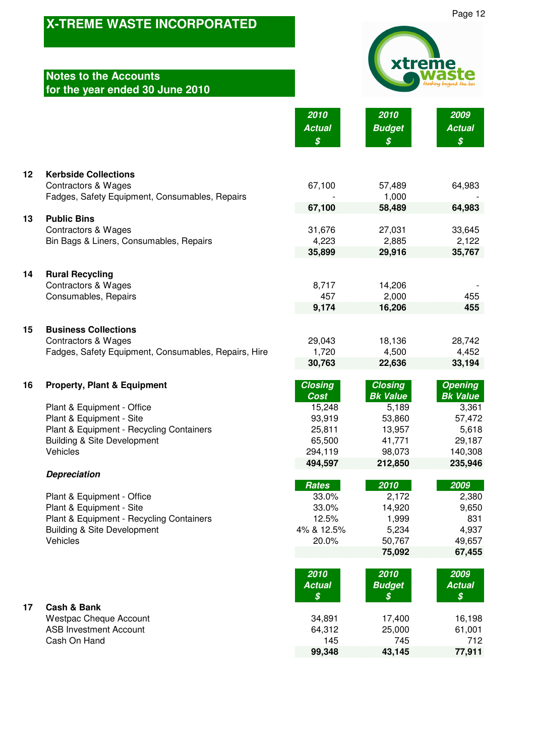## **Notes to the Accounts for the year ended 30 June 2010**

| xtreme<br><b>WASTE</b> |
|------------------------|
|------------------------|

**2010 2010 2009 Actual Budget Actual**

|    |                                                      | S              |                  | S                |
|----|------------------------------------------------------|----------------|------------------|------------------|
| 12 | <b>Kerbside Collections</b>                          |                |                  |                  |
|    | <b>Contractors &amp; Wages</b>                       | 67,100         | 57,489           | 64,983           |
|    | Fadges, Safety Equipment, Consumables, Repairs       |                | 1,000            |                  |
|    |                                                      | 67,100         | 58,489           | 64,983           |
| 13 | <b>Public Bins</b>                                   |                |                  |                  |
|    | <b>Contractors &amp; Wages</b>                       | 31,676         | 27,031           | 33,645           |
|    | Bin Bags & Liners, Consumables, Repairs              | 4,223          | 2,885            | 2,122            |
|    |                                                      | 35,899         | 29,916           | 35,767           |
| 14 | <b>Rural Recycling</b>                               |                |                  |                  |
|    | <b>Contractors &amp; Wages</b>                       | 8,717          | 14,206           |                  |
|    | Consumables, Repairs                                 | 457            | 2,000            | 455              |
|    |                                                      | 9,174          | 16,206           | 455              |
| 15 | <b>Business Collections</b>                          |                |                  |                  |
|    | <b>Contractors &amp; Wages</b>                       | 29,043         | 18,136           | 28,742           |
|    | Fadges, Safety Equipment, Consumables, Repairs, Hire | 1,720          | 4,500            | 4,452            |
|    |                                                      | 30,763         | 22,636           | 33,194           |
| 16 | <b>Property, Plant &amp; Equipment</b>               | <b>Closing</b> | <b>Closing</b>   | <b>Opening</b>   |
|    |                                                      | <b>Cost</b>    | <b>Bk Value</b>  | <b>Bk Value</b>  |
|    | Plant & Equipment - Office                           | 15,248         | 5,189            | 3,361            |
|    | Plant & Equipment - Site                             | 93,919         | 53,860           | 57,472           |
|    | Plant & Equipment - Recycling Containers             | 25,811         | 13,957           | 5,618            |
|    | <b>Building &amp; Site Development</b>               | 65,500         | 41,771           | 29,187           |
|    | Vehicles                                             | 294,119        | 98,073           | 140,308          |
|    |                                                      | 494,597        | 212,850          | 235,946          |
|    | <b>Depreciation</b>                                  |                |                  |                  |
|    |                                                      | <b>Rates</b>   | 2010             | 2009             |
|    | Plant & Equipment - Office                           | 33.0%          | 2,172            | 2,380            |
|    | Plant & Equipment - Site                             | 33.0%          | 14,920           | 9,650            |
|    | Plant & Equipment - Recycling Containers             | 12.5%          | 1,999            | 831              |
|    | <b>Building &amp; Site Development</b><br>Vehicles   | 4% & 12.5%     | 5,234            | 4,937            |
|    |                                                      | 20.0%          | 50,767<br>75,092 | 49,657<br>67,455 |
|    |                                                      |                |                  |                  |

| 17 | <b>Cash &amp; Bank</b> |
|----|------------------------|
|    | Westpac Cheque Ac      |

**2010 2010 2009 Budget \$ \$ \$** Westpac Cheque Account 34,891 17,400 16,198 ASB Investment Account 64,312 25,000 61,001 Cash On Hand 712<br>
2712 145 745 77,911<br>
27,911 145 99,348 **99,348 43,145 77,911**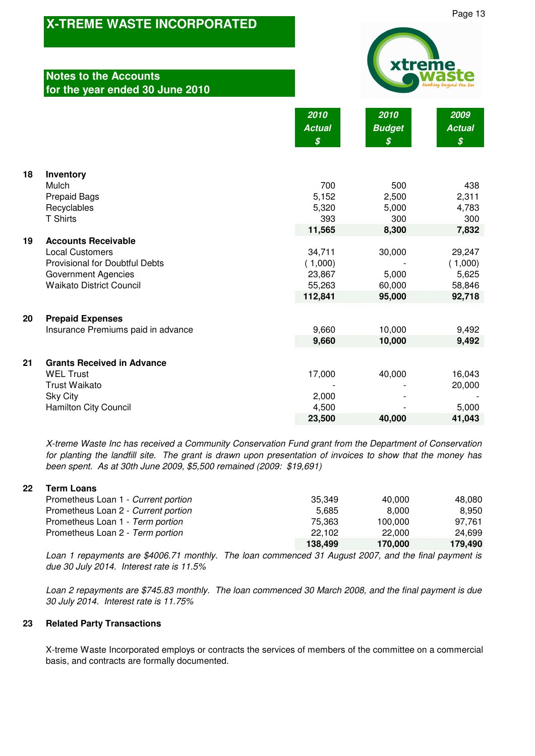### **Notes to the Accounts for the year ended 30 June 2010**

| xtreme<br>Hunking beyond the bin |
|----------------------------------|
|                                  |

**2010 2010 2009**

|    |                                       | <b>Actual</b> | <b>Budget</b>              | <b>Actual</b>              |
|----|---------------------------------------|---------------|----------------------------|----------------------------|
|    |                                       | S             | $\boldsymbol{\mathcal{S}}$ | $\boldsymbol{\mathcal{S}}$ |
|    |                                       |               |                            |                            |
| 18 | Inventory                             |               |                            |                            |
|    | Mulch                                 | 700           | 500                        | 438                        |
|    | <b>Prepaid Bags</b>                   | 5,152         | 2,500                      | 2,311                      |
|    | Recyclables                           | 5,320         | 5,000                      | 4,783                      |
|    | <b>T Shirts</b>                       | 393           | 300                        | 300                        |
|    |                                       | 11,565        | 8,300                      | 7,832                      |
| 19 | <b>Accounts Receivable</b>            |               |                            |                            |
|    | <b>Local Customers</b>                | 34,711        | 30,000                     | 29,247                     |
|    | <b>Provisional for Doubtful Debts</b> | (1,000)       |                            | (1,000)                    |
|    | <b>Government Agencies</b>            | 23,867        | 5,000                      | 5,625                      |
|    | <b>Waikato District Council</b>       | 55,263        | 60,000                     | 58,846                     |
|    |                                       | 112,841       | 95,000                     | 92,718                     |
| 20 | <b>Prepaid Expenses</b>               |               |                            |                            |
|    | Insurance Premiums paid in advance    | 9,660         | 10,000                     | 9,492                      |
|    |                                       | 9,660         | 10,000                     | 9,492                      |
|    |                                       |               |                            |                            |
| 21 | <b>Grants Received in Advance</b>     |               |                            |                            |
|    | <b>WEL Trust</b>                      | 17,000        | 40,000                     | 16,043                     |
|    | <b>Trust Waikato</b>                  |               |                            | 20,000                     |
|    | <b>Sky City</b>                       | 2,000         |                            |                            |
|    | Hamilton City Council                 | 4,500         |                            | 5,000                      |
|    |                                       | 23,500        | 40,000                     | 41,043                     |

X-treme Waste Inc has received a Community Conservation Fund grant from the Department of Conservation for planting the landfill site. The grant is drawn upon presentation of invoices to show that the money has been spent. As at 30th June 2009, \$5,500 remained (2009: \$19,691)

#### **22 Term Loans**

| Prometheus Loan 1 - Current portion | 35.349  | 40.000  | 48.080  |
|-------------------------------------|---------|---------|---------|
| Prometheus Loan 2 - Current portion | 5.685   | 8.000   | 8.950   |
| Prometheus Loan 1 - Term portion    | 75.363  | 100.000 | 97.761  |
| Prometheus Loan 2 - Term portion    | 22.102  | 22,000  | 24.699  |
|                                     | 138.499 | 170.000 | 179.490 |

Loan 1 repayments are \$4006.71 monthly. The loan commenced 31 August 2007, and the final payment is due 30 July 2014. Interest rate is 11.5%

Loan 2 repayments are \$745.83 monthly. The loan commenced 30 March 2008, and the final payment is due 30 July 2014. Interest rate is 11.75%

#### **23 Related Party Transactions**

X-treme Waste Incorporated employs or contracts the services of members of the committee on a commercial basis, and contracts are formally documented.